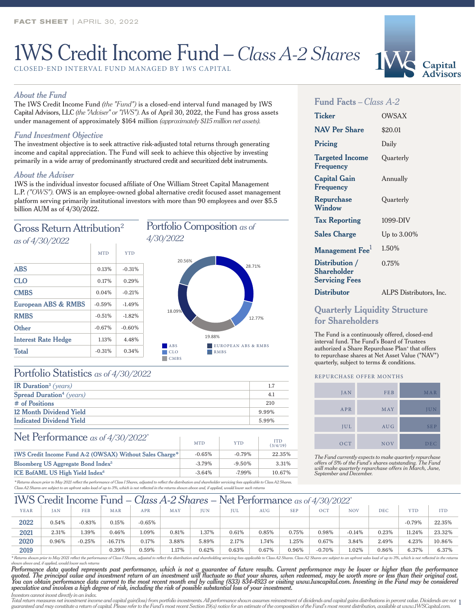# 1WS Credit Income Fund – *Class A-2 Shares*

CLOSED-END INTERVAL FUND MANAGED BY 1WS CAPITAL

#### *About the Fund*

The 1WS Credit Income Fund *(the "Fund")* is a closed-end interval fund managed by 1WS Capital Advisors, LLC *(the "Adviser" or "1WS").* As of April 30, 2022, the Fund has gross assets under management of approximately \$164 million *(approximately \$115 million net assets).*

#### *Fund Investment Objective*

The investment objective is to seek attractive risk-adjusted total returns through generating income and capital appreciation. The Fund will seek to achieve this objective by investing primarily in a wide array of predominantly structured credit and securitized debt instruments.

#### *About the Adviser*

1WS is the individual investor focused affiliate of One William Street Capital Management L.P. *("OWS").* OWS is an employee-owned global alternative credit focused asset management platform serving primarily institutional investors with more than 90 employees and over \$5.5 billion AUM as of 4/30/2022.



# Portfolio Statistics *as of 4/30/2022*

| 1.7   |
|-------|
| 4.1   |
| 210   |
| 9.99% |
| 5.99% |
|       |

## Net Performance *as of 4/30/2022\**

| $\frac{1}{2}$ for $\frac{1}{2}$ chion interfered as of $\frac{1}{2}$ s $\frac{1}{2}$ s $\frac{1}{2}$ | <b>MTD</b> | <b>YTD</b> | ITD<br>(3/4/19) |  |
|------------------------------------------------------------------------------------------------------|------------|------------|-----------------|--|
| 1WS Credit Income Fund A-2 (OWSAX) Without Sales Charge*                                             | $-0.65%$   | $-0.79\%$  | 22.35%          |  |
| Bloomberg US Aggregate Bond Index <sup>5</sup>                                                       | $-3.79\%$  | $-9.50\%$  | 3.31%           |  |
| ICE BofAML US High Yield Index <sup>6</sup>                                                          | $-3.64%$   | $-7.99\%$  | 10.67%          |  |

*\* Returns shown prior to May 2021 reflect the performance of Class I Shares, adjusted to reflect the distribution and shareholder servicing fees applicable to Class A2 Shares. Class A2 Shares are subject to an upfront sales load of up to 3%, which is not reflected in the returns shown above and, if applied, would lower such returns*

## 1WS Credit Income Fund – *Class A-2 Shares* – Net Performance *as of 4/30/2022\**

| - - - |              |            |            |            |       | ---   |            |            | $\sim$<br>$\sim$ | $\rightarrow$ $\rightarrow$ $\rightarrow$ $\rightarrow$ $\rightarrow$ $\rightarrow$ $\rightarrow$ |            |            |            |            |
|-------|--------------|------------|------------|------------|-------|-------|------------|------------|------------------|---------------------------------------------------------------------------------------------------|------------|------------|------------|------------|
| YEAR  | $\text{fAN}$ | <b>FEB</b> | <b>MAR</b> | <b>APR</b> | MAY   | JUN   | <b>IUL</b> | <b>AUG</b> | <b>SEP</b>       | OCT                                                                                               | <b>NOV</b> | <b>DEC</b> | <b>YTD</b> | <b>ITD</b> |
| 2022  | 0.54%        | $-0.83%$   | 0.15%      | $-0.65%$   |       |       |            |            |                  |                                                                                                   |            |            | $-0.79%$   | 22.35%     |
| 2021  | 2.31%        | .39%       | 0.46%      | 1.09%      | 0.81% | 1.37% | 0.61%      | 0.85%      | $0.75\%$         | 0.98%                                                                                             | $-0.14%$   | 0.23%      | 11.24%     | 23.32%     |
| 2020  | 0.96%        | $-0.25%$   | $-16.71%$  | 0.17%      | 3.88% | 5.89% | 2.17%      | 1.74%      | 1.25%            | 0.67%                                                                                             | 3.84%      | 2.49%      | 4.23%      | 10.86%     |
| 2019  |              |            | 0.39%      | 0.59%      | 1.17% | 0.62% | 0.63%      | 0.67%      | 0.96%            | $-0.70%$                                                                                          | 1.02%      | 0.86%      | 6.37%      | 6.37%      |
|       |              |            |            |            |       |       |            |            |                  |                                                                                                   |            |            |            |            |

\* Returns shown prior to May 2021 reflect the performance of Class I Shares, adjusted to reflect the distribution and shareholding servicing fees applicable to Class A2 Shares. Class A2 Shares are subject to an upfront sal *shown above and, if applied, would lower such returns*

*Performance data quoted represents past performance, which is not a guarantee of future results. Current performance may be lower or higher than the performance quoted. The principal value and investment return of an investment will fluctuate so that your shares, when redeemed, may be worth more or less than their original cost.*  You can obtain performance data current to the most recent month end by calling (833) 834-4923 or visiting www.Iwscapital.com. Investing in the Fund may be considered<br>speculative and involves a high degree of risk, includi *Investors cannot invest directly in an index.*

#### Total return measures net investment income and capital gain(loss) from portfolio investments. All performance shown assumes reinvestment of dividends and capital gains distributions in percent value. Dividends are not  $1$ guaranteed and may constitute a return of capital. Please refer to the Fund's most recent Section 19(a) notice for an estimate of the composition of the Fund's most recent distribution, available at www.1WSCapital.com.

## **Fund Facts** *– Class A-2*

| <b>Ticker</b>                                                 | OWSAX                   |
|---------------------------------------------------------------|-------------------------|
| <b>NAV Per Share</b>                                          | \$20.01                 |
| Pricing                                                       | Daily                   |
| <b>Targeted Income</b><br>Frequency                           | Ouarterly               |
| <b>Capital Gain</b><br>Frequency                              | Annually                |
| Repurchase<br>Window                                          | Quarterly               |
| <b>Tax Reporting</b>                                          | 1099-DIV                |
| <b>Sales Charge</b>                                           | Up to $3.00\%$          |
| Management Fee <sup>1</sup>                                   | 1.50%                   |
| Distribution /<br><b>Shareholder</b><br><b>Servicing Fees</b> | 0.75%                   |
| <b>Distributor</b>                                            | ALPS Distributors, Inc. |

#### **Quarterly Liquidity Structure for Shareholders**

The Fund is a continuously offered, closed-end interval fund. The Fund's Board of Trustees authorized a Share Repurchase Plan<sup>+</sup> that offers to repurchase shares at Net Asset Value ("NAV") quarterly, subject to terms & conditions.

#### REPURCHASE OFFER MONTHS

| <b>JAN</b> | FEB        | MAR        |
|------------|------------|------------|
| APR        | MAY        | JUN        |
| JUL        | <b>AUG</b> | <b>SEP</b> |
| OCT        | <b>NOV</b> | <b>DEC</b> |

*The Fund currently expects to make quarterly repurchase offers of 5% of the Fund's shares outstanding. The Fund will make quarterly repurchase offers in March, June, September and December.*